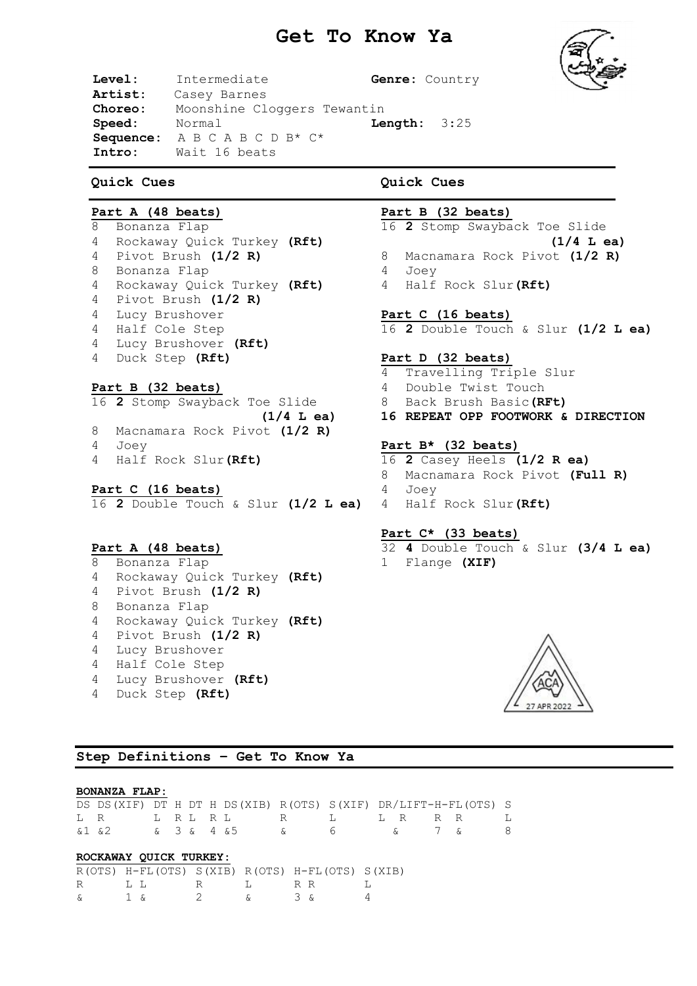# **Get To Know Ya**



**Level:** Intermediate **Genre:** Country **Artist:** Casey Barnes **Choreo:** Moonshine Cloggers Tewantin **Speed:** Normal **Length:** 3:25 **Sequence:** A B C A B C D B\* C\* **Intro:** Wait 16 beats

## **Quick Cues**

## **Part A (48 beats)**

 Bonanza Flap Rockaway Quick Turkey **(Rft)** Pivot Brush **(1/2 R)** Bonanza Flap Rockaway Quick Turkey **(Rft)** Pivot Brush **(1/2 R)** Lucy Brushover Half Cole Step Lucy Brushover **(Rft)** Duck Step **(Rft)**

## **Part B (32 beats)**

- 16 **2** Stomp Swayback Toe Slide **(1/4 L ea)** 8 Macnamara Rock Pivot **(1/2 R)** 4 Joey
- 4 Half Rock Slur**(Rft)**

### **Part C (16 beats)**

16 **2** Double Touch & Slur **(1/2 L ea)** 4 Half Rock Slur**(Rft)**

### **Part A (48 beats)**

 Bonanza Flap Rockaway Quick Turkey **(Rft)** Pivot Brush **(1/2 R)** Bonanza Flap Rockaway Quick Turkey **(Rft)** Pivot Brush **(1/2 R)**  Lucy Brushover Half Cole Step Lucy Brushover **(Rft)** Duck Step **(Rft)**

# **Quick Cues**

## **Part B (32 beats)**

16 **2** Stomp Swayback Toe Slide

- **(1/4 L ea)** 8 Macnamara Rock Pivot **(1/2 R)**
	-
- 4 Joey
- 4 Half Rock Slur**(Rft)**

### **Part C (16 beats)**

16 **2** Double Touch & Slur **(1/2 L ea)**

### **Part D (32 beats)**

- 4 Travelling Triple Slur
- 4 Double Twist Touch
- 8 Back Brush Basic**(RFt)**

**16 REPEAT OPP FOOTWORK & DIRECTION**

### **Part B\* (32 beats)**

16 **2** Casey Heels **(1/2 R ea)** 8 Macnamara Rock Pivot **(Full R)** 4 Joey

# **Part C\* (33 beats)**

32 **4** Double Touch & Slur **(3/4 L ea)** 1 Flange **(XIF)**



**Step Definitions – Get To Know Ya**

#### **BONANZA FLAP:**

| DS DS (XIF) DT H DT H DS (XIB) R (OTS) S (XIF) DR/LIFT-H-FL (OTS) S |  |  |  |  |  |  |
|---------------------------------------------------------------------|--|--|--|--|--|--|
| LR LRLRL R L LR RR L                                                |  |  |  |  |  |  |
| & 1 & 2 & 3 & 4 & 5 & 6 & 7 & 8                                     |  |  |  |  |  |  |

## **ROCKAWAY QUICK TURKEY:**

|            |         | $R(OTS) H-FL(OTS) S(XIB) R(OTS) H-FL(OTS) S(XIB)$ |   |                                                         |     |                   |  |
|------------|---------|---------------------------------------------------|---|---------------------------------------------------------|-----|-------------------|--|
| $R \sim 1$ | الملبات |                                                   | R | $\mathbf{T}_{\mathbf{r}}$ and $\mathbf{T}_{\mathbf{r}}$ | R R |                   |  |
|            |         | 1 s                                               |   |                                                         |     | $\sim$ 3 $\kappa$ |  |